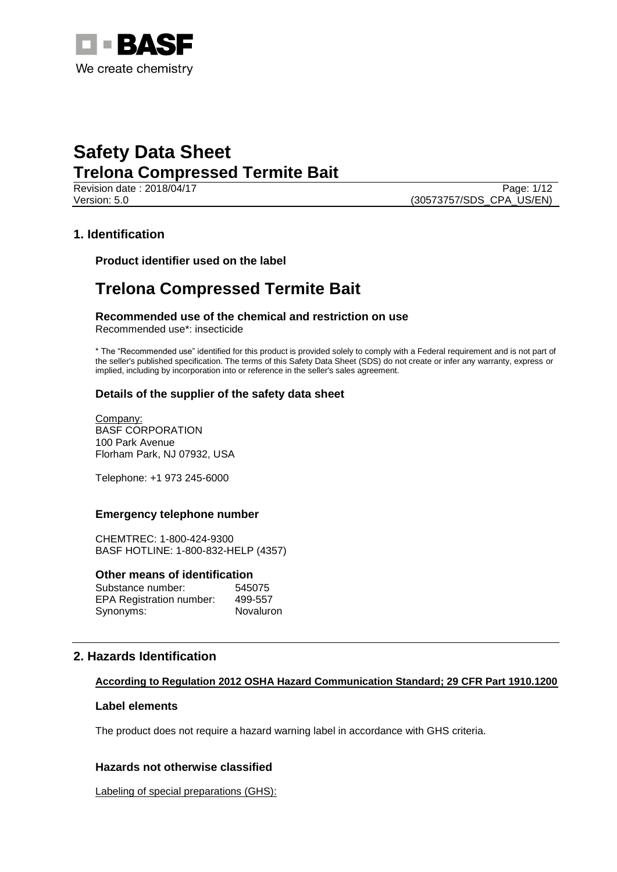

Revision date : 2018/04/17 Page: 1/12 Version: 5.0 (30573757/SDS\_CPA\_US/EN)

# **1. Identification**

**Product identifier used on the label**

# **Trelona Compressed Termite Bait**

**Recommended use of the chemical and restriction on use** Recommended use\*: insecticide

\* The "Recommended use" identified for this product is provided solely to comply with a Federal requirement and is not part of the seller's published specification. The terms of this Safety Data Sheet (SDS) do not create or infer any warranty, express or implied, including by incorporation into or reference in the seller's sales agreement.

## **Details of the supplier of the safety data sheet**

Company: BASF CORPORATION 100 Park Avenue Florham Park, NJ 07932, USA

Telephone: +1 973 245-6000

## **Emergency telephone number**

CHEMTREC: 1-800-424-9300 BASF HOTLINE: 1-800-832-HELP (4357)

#### **Other means of identification**

| Substance number:               | 545075    |
|---------------------------------|-----------|
| <b>EPA Registration number:</b> | 499-557   |
| Synonyms:                       | Novaluron |

# **2. Hazards Identification**

## **According to Regulation 2012 OSHA Hazard Communication Standard; 29 CFR Part 1910.1200**

#### **Label elements**

The product does not require a hazard warning label in accordance with GHS criteria.

## **Hazards not otherwise classified**

Labeling of special preparations (GHS):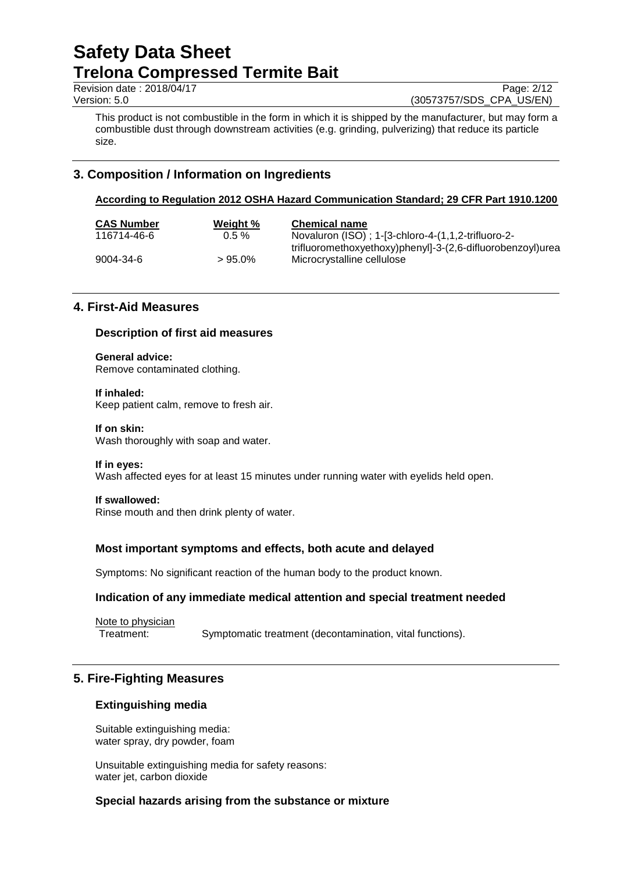Revision date : 2018/04/17 Page: 2/12

Version: 5.0 (30573757/SDS\_CPA\_US/EN)

This product is not combustible in the form in which it is shipped by the manufacturer, but may form a combustible dust through downstream activities (e.g. grinding, pulverizing) that reduce its particle size.

# **3. Composition / Information on Ingredients**

## **According to Regulation 2012 OSHA Hazard Communication Standard; 29 CFR Part 1910.1200**

| <b>CAS Number</b> | Weight %  | <b>Chemical name</b>                                       |
|-------------------|-----------|------------------------------------------------------------|
| 116714-46-6       | $0.5 \%$  | Novaluron (ISO); 1-[3-chloro-4-(1,1,2-trifluoro-2-         |
|                   |           | trifluoromethoxyethoxy)phenyl]-3-(2,6-difluorobenzoyl)urea |
| 9004-34-6         | $>95.0\%$ | Microcrystalline cellulose                                 |
|                   |           |                                                            |

# **4. First-Aid Measures**

### **Description of first aid measures**

#### **General advice:**

Remove contaminated clothing.

#### **If inhaled:**

Keep patient calm, remove to fresh air.

#### **If on skin:**

Wash thoroughly with soap and water.

#### **If in eyes:**

Wash affected eyes for at least 15 minutes under running water with eyelids held open.

#### **If swallowed:**

Rinse mouth and then drink plenty of water.

## **Most important symptoms and effects, both acute and delayed**

Symptoms: No significant reaction of the human body to the product known.

## **Indication of any immediate medical attention and special treatment needed**

Note to physician Treatment: Symptomatic treatment (decontamination, vital functions).

# **5. Fire-Fighting Measures**

#### **Extinguishing media**

Suitable extinguishing media: water spray, dry powder, foam

Unsuitable extinguishing media for safety reasons: water jet, carbon dioxide

#### **Special hazards arising from the substance or mixture**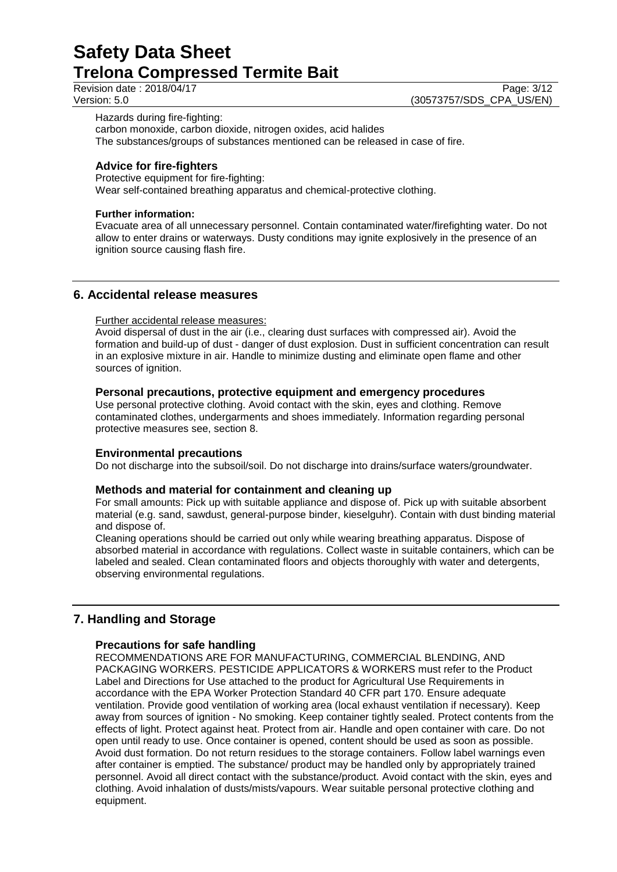Revision date : 2018/04/17 Page: 3/12<br>Version: 5.0 (30573757/SDS CPA US/EN) (30573757/SDS\_CPA\_US/EN)

Hazards during fire-fighting: carbon monoxide, carbon dioxide, nitrogen oxides, acid halides The substances/groups of substances mentioned can be released in case of fire.

# **Advice for fire-fighters**

Protective equipment for fire-fighting: Wear self-contained breathing apparatus and chemical-protective clothing.

# **Further information:**

Evacuate area of all unnecessary personnel. Contain contaminated water/firefighting water. Do not allow to enter drains or waterways. Dusty conditions may ignite explosively in the presence of an ignition source causing flash fire.

# **6. Accidental release measures**

## Further accidental release measures:

Avoid dispersal of dust in the air (i.e., clearing dust surfaces with compressed air). Avoid the formation and build-up of dust - danger of dust explosion. Dust in sufficient concentration can result in an explosive mixture in air. Handle to minimize dusting and eliminate open flame and other sources of ignition.

# **Personal precautions, protective equipment and emergency procedures**

Use personal protective clothing. Avoid contact with the skin, eyes and clothing. Remove contaminated clothes, undergarments and shoes immediately. Information regarding personal protective measures see, section 8.

## **Environmental precautions**

Do not discharge into the subsoil/soil. Do not discharge into drains/surface waters/groundwater.

## **Methods and material for containment and cleaning up**

For small amounts: Pick up with suitable appliance and dispose of. Pick up with suitable absorbent material (e.g. sand, sawdust, general-purpose binder, kieselguhr). Contain with dust binding material and dispose of.

Cleaning operations should be carried out only while wearing breathing apparatus. Dispose of absorbed material in accordance with regulations. Collect waste in suitable containers, which can be labeled and sealed. Clean contaminated floors and objects thoroughly with water and detergents, observing environmental regulations.

# **7. Handling and Storage**

# **Precautions for safe handling**

RECOMMENDATIONS ARE FOR MANUFACTURING, COMMERCIAL BLENDING, AND PACKAGING WORKERS. PESTICIDE APPLICATORS & WORKERS must refer to the Product Label and Directions for Use attached to the product for Agricultural Use Requirements in accordance with the EPA Worker Protection Standard 40 CFR part 170. Ensure adequate ventilation. Provide good ventilation of working area (local exhaust ventilation if necessary). Keep away from sources of ignition - No smoking. Keep container tightly sealed. Protect contents from the effects of light. Protect against heat. Protect from air. Handle and open container with care. Do not open until ready to use. Once container is opened, content should be used as soon as possible. Avoid dust formation. Do not return residues to the storage containers. Follow label warnings even after container is emptied. The substance/ product may be handled only by appropriately trained personnel. Avoid all direct contact with the substance/product. Avoid contact with the skin, eyes and clothing. Avoid inhalation of dusts/mists/vapours. Wear suitable personal protective clothing and equipment.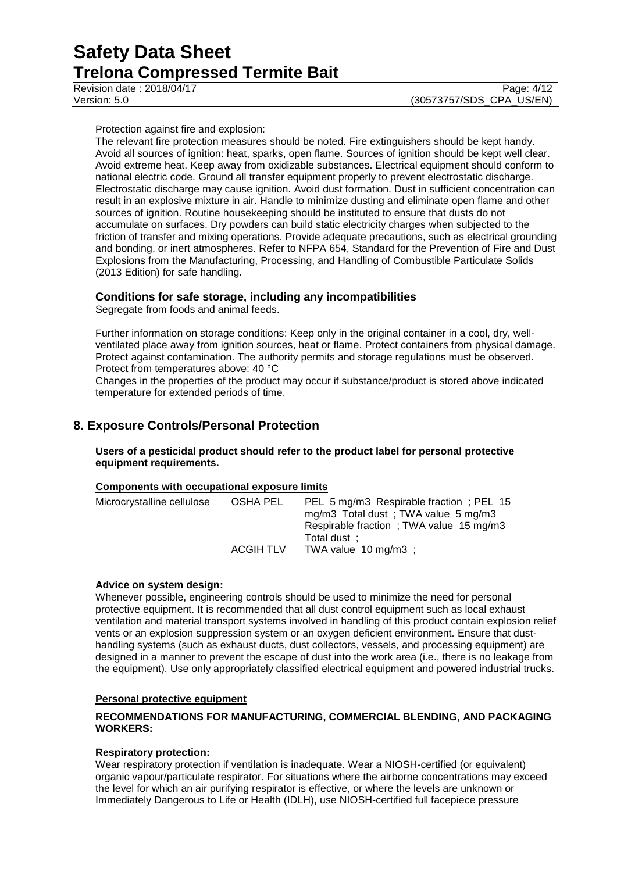Revision date : 2018/04/17 Page: 4/12

Protection against fire and explosion:

The relevant fire protection measures should be noted. Fire extinguishers should be kept handy. Avoid all sources of ignition: heat, sparks, open flame. Sources of ignition should be kept well clear. Avoid extreme heat. Keep away from oxidizable substances. Electrical equipment should conform to national electric code. Ground all transfer equipment properly to prevent electrostatic discharge. Electrostatic discharge may cause ignition. Avoid dust formation. Dust in sufficient concentration can result in an explosive mixture in air. Handle to minimize dusting and eliminate open flame and other sources of ignition. Routine housekeeping should be instituted to ensure that dusts do not accumulate on surfaces. Dry powders can build static electricity charges when subjected to the friction of transfer and mixing operations. Provide adequate precautions, such as electrical grounding and bonding, or inert atmospheres. Refer to NFPA 654, Standard for the Prevention of Fire and Dust Explosions from the Manufacturing, Processing, and Handling of Combustible Particulate Solids (2013 Edition) for safe handling.

## **Conditions for safe storage, including any incompatibilities**

Segregate from foods and animal feeds.

Further information on storage conditions: Keep only in the original container in a cool, dry, wellventilated place away from ignition sources, heat or flame. Protect containers from physical damage. Protect against contamination. The authority permits and storage regulations must be observed. Protect from temperatures above: 40 °C

Changes in the properties of the product may occur if substance/product is stored above indicated temperature for extended periods of time.

# **8. Exposure Controls/Personal Protection**

**Users of a pesticidal product should refer to the product label for personal protective equipment requirements.**

### **Components with occupational exposure limits**

| OSHA PEL         | PEL 5 mg/m3 Respirable fraction; PEL 15 |
|------------------|-----------------------------------------|
|                  | mg/m3 Total dust; TWA value 5 mg/m3     |
|                  | Respirable fraction; TWA value 15 mg/m3 |
|                  | Total dust:                             |
| <b>ACGIH TLV</b> | TWA value $10 \text{ mg/m}3$ ;          |
|                  |                                         |

#### **Advice on system design:**

Whenever possible, engineering controls should be used to minimize the need for personal protective equipment. It is recommended that all dust control equipment such as local exhaust ventilation and material transport systems involved in handling of this product contain explosion relief vents or an explosion suppression system or an oxygen deficient environment. Ensure that dusthandling systems (such as exhaust ducts, dust collectors, vessels, and processing equipment) are designed in a manner to prevent the escape of dust into the work area (i.e., there is no leakage from the equipment). Use only appropriately classified electrical equipment and powered industrial trucks.

#### **Personal protective equipment**

### **RECOMMENDATIONS FOR MANUFACTURING, COMMERCIAL BLENDING, AND PACKAGING WORKERS:**

#### **Respiratory protection:**

Wear respiratory protection if ventilation is inadequate. Wear a NIOSH-certified (or equivalent) organic vapour/particulate respirator. For situations where the airborne concentrations may exceed the level for which an air purifying respirator is effective, or where the levels are unknown or Immediately Dangerous to Life or Health (IDLH), use NIOSH-certified full facepiece pressure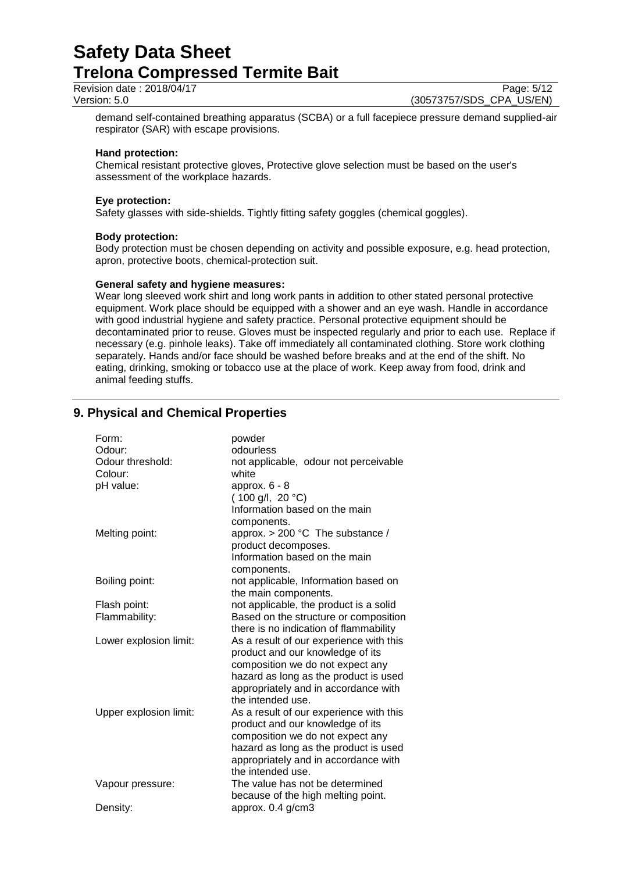Revision date : 2018/04/17 Page: 5/12<br>Version: 5.0 (30573757/SDS\_CPA\_US/EN)

(30573757/SDS\_CPA\_US/EN)

demand self-contained breathing apparatus (SCBA) or a full facepiece pressure demand supplied-air respirator (SAR) with escape provisions.

#### **Hand protection:**

Chemical resistant protective gloves, Protective glove selection must be based on the user's assessment of the workplace hazards.

#### **Eye protection:**

Safety glasses with side-shields. Tightly fitting safety goggles (chemical goggles).

### **Body protection:**

Body protection must be chosen depending on activity and possible exposure, e.g. head protection, apron, protective boots, chemical-protection suit.

### **General safety and hygiene measures:**

Wear long sleeved work shirt and long work pants in addition to other stated personal protective equipment. Work place should be equipped with a shower and an eye wash. Handle in accordance with good industrial hygiene and safety practice. Personal protective equipment should be decontaminated prior to reuse. Gloves must be inspected regularly and prior to each use. Replace if necessary (e.g. pinhole leaks). Take off immediately all contaminated clothing. Store work clothing separately. Hands and/or face should be washed before breaks and at the end of the shift. No eating, drinking, smoking or tobacco use at the place of work. Keep away from food, drink and animal feeding stuffs.

# **9. Physical and Chemical Properties**

| Form:                  | powder                                  |
|------------------------|-----------------------------------------|
| Odour:                 | odourless                               |
| Odour threshold:       | not applicable, odour not perceivable   |
| Colour:                | white                                   |
| pH value:              | approx. $6 - 8$                         |
|                        | $(100 g/l, 20 ^{\circ}C)$               |
|                        | Information based on the main           |
|                        | components.                             |
| Melting point:         | approx. $> 200$ °C The substance /      |
|                        | product decomposes.                     |
|                        | Information based on the main           |
|                        | components.                             |
| Boiling point:         | not applicable, Information based on    |
|                        | the main components.                    |
| Flash point:           | not applicable, the product is a solid  |
| Flammability:          | Based on the structure or composition   |
|                        | there is no indication of flammability  |
| Lower explosion limit: | As a result of our experience with this |
|                        | product and our knowledge of its        |
|                        | composition we do not expect any        |
|                        | hazard as long as the product is used   |
|                        | appropriately and in accordance with    |
|                        | the intended use.                       |
| Upper explosion limit: | As a result of our experience with this |
|                        | product and our knowledge of its        |
|                        | composition we do not expect any        |
|                        | hazard as long as the product is used   |
|                        | appropriately and in accordance with    |
|                        | the intended use.                       |
| Vapour pressure:       | The value has not be determined         |
|                        | because of the high melting point.      |
| Density:               | approx. 0.4 g/cm3                       |
|                        |                                         |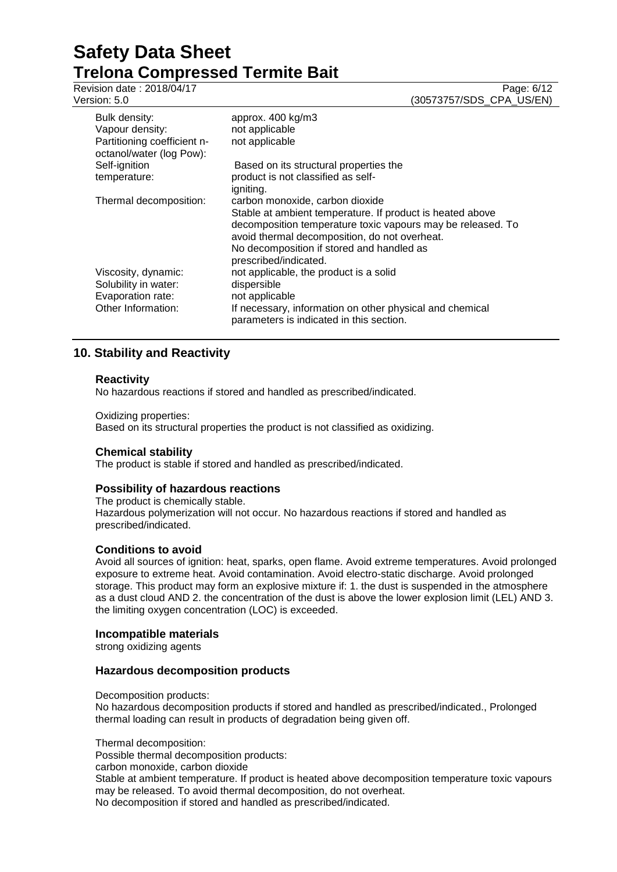Revision date : 2018/04/17

Version: 5.0 (30573757/SDS\_CPA\_US/EN)

| Bulk density:<br>Vapour density:<br>Partitioning coefficient n-<br>octanol/water (log Pow): | approx. 400 kg/m3<br>not applicable<br>not applicable                                                                                                                                                                                                                              |
|---------------------------------------------------------------------------------------------|------------------------------------------------------------------------------------------------------------------------------------------------------------------------------------------------------------------------------------------------------------------------------------|
| Self-ignition<br>temperature:                                                               | Based on its structural properties the<br>product is not classified as self-<br>igniting.                                                                                                                                                                                          |
| Thermal decomposition:                                                                      | carbon monoxide, carbon dioxide<br>Stable at ambient temperature. If product is heated above<br>decomposition temperature toxic vapours may be released. To<br>avoid thermal decomposition, do not overheat.<br>No decomposition if stored and handled as<br>prescribed/indicated. |
| Viscosity, dynamic:<br>Solubility in water:<br>Evaporation rate:                            | not applicable, the product is a solid<br>dispersible<br>not applicable                                                                                                                                                                                                            |
| Other Information:                                                                          | If necessary, information on other physical and chemical<br>parameters is indicated in this section.                                                                                                                                                                               |

# **10. Stability and Reactivity**

## **Reactivity**

No hazardous reactions if stored and handled as prescribed/indicated.

Oxidizing properties:

Based on its structural properties the product is not classified as oxidizing.

## **Chemical stability**

The product is stable if stored and handled as prescribed/indicated.

## **Possibility of hazardous reactions**

The product is chemically stable. Hazardous polymerization will not occur. No hazardous reactions if stored and handled as prescribed/indicated.

## **Conditions to avoid**

Avoid all sources of ignition: heat, sparks, open flame. Avoid extreme temperatures. Avoid prolonged exposure to extreme heat. Avoid contamination. Avoid electro-static discharge. Avoid prolonged storage. This product may form an explosive mixture if: 1. the dust is suspended in the atmosphere as a dust cloud AND 2. the concentration of the dust is above the lower explosion limit (LEL) AND 3. the limiting oxygen concentration (LOC) is exceeded.

#### **Incompatible materials**

strong oxidizing agents

## **Hazardous decomposition products**

Decomposition products:

No hazardous decomposition products if stored and handled as prescribed/indicated., Prolonged thermal loading can result in products of degradation being given off.

Thermal decomposition:

Possible thermal decomposition products:

carbon monoxide, carbon dioxide

Stable at ambient temperature. If product is heated above decomposition temperature toxic vapours may be released. To avoid thermal decomposition, do not overheat.

No decomposition if stored and handled as prescribed/indicated.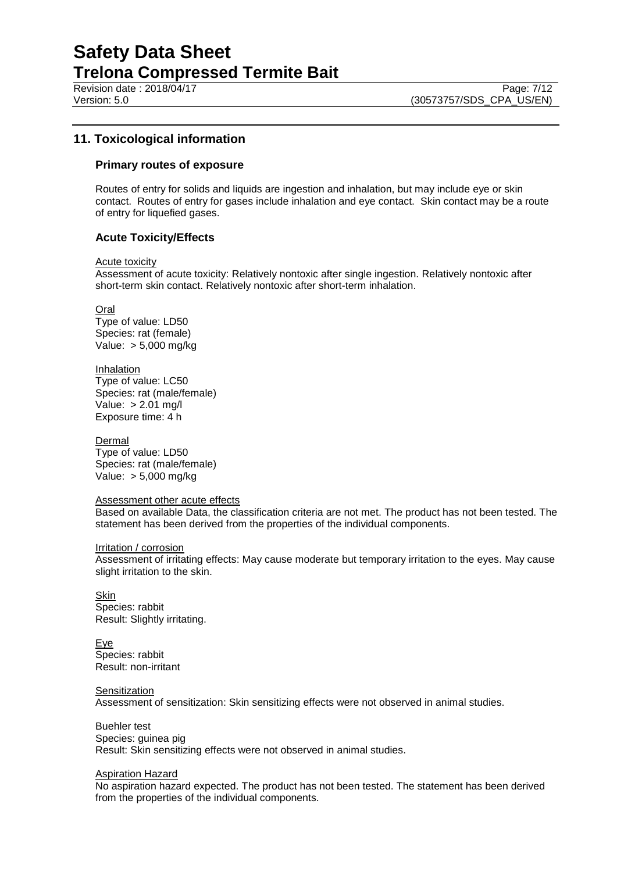Revision date : 2018/04/17 Page: 7/12

# **11. Toxicological information**

#### **Primary routes of exposure**

Routes of entry for solids and liquids are ingestion and inhalation, but may include eye or skin contact. Routes of entry for gases include inhalation and eye contact. Skin contact may be a route of entry for liquefied gases.

### **Acute Toxicity/Effects**

Acute toxicity

Assessment of acute toxicity: Relatively nontoxic after single ingestion. Relatively nontoxic after short-term skin contact. Relatively nontoxic after short-term inhalation.

Oral Type of value: LD50 Species: rat (female) Value: > 5,000 mg/kg

**Inhalation** Type of value: LC50 Species: rat (male/female) Value: > 2.01 mg/l Exposure time: 4 h

**Dermal** Type of value: LD50 Species: rat (male/female) Value: > 5,000 mg/kg

#### Assessment other acute effects

Based on available Data, the classification criteria are not met. The product has not been tested. The statement has been derived from the properties of the individual components.

#### Irritation / corrosion

Assessment of irritating effects: May cause moderate but temporary irritation to the eyes. May cause slight irritation to the skin.

Skin Species: rabbit Result: Slightly irritating.

**Eye** Species: rabbit Result: non-irritant

**Sensitization** Assessment of sensitization: Skin sensitizing effects were not observed in animal studies.

Buehler test Species: guinea pig Result: Skin sensitizing effects were not observed in animal studies.

#### Aspiration Hazard

No aspiration hazard expected. The product has not been tested. The statement has been derived from the properties of the individual components.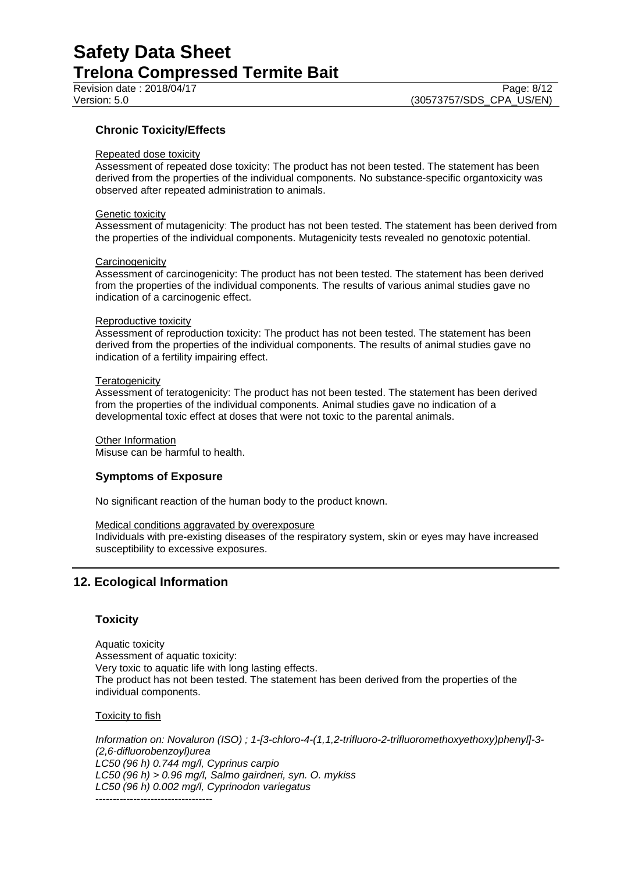Revision date : 2018/04/17

# **Chronic Toxicity/Effects**

### Repeated dose toxicity

Assessment of repeated dose toxicity: The product has not been tested. The statement has been derived from the properties of the individual components. No substance-specific organtoxicity was observed after repeated administration to animals.

#### Genetic toxicity

Assessment of mutagenicity: The product has not been tested. The statement has been derived from the properties of the individual components. Mutagenicity tests revealed no genotoxic potential.

#### **Carcinogenicity**

Assessment of carcinogenicity: The product has not been tested. The statement has been derived from the properties of the individual components. The results of various animal studies gave no indication of a carcinogenic effect.

#### Reproductive toxicity

Assessment of reproduction toxicity: The product has not been tested. The statement has been derived from the properties of the individual components. The results of animal studies gave no indication of a fertility impairing effect.

#### **Teratogenicity**

Assessment of teratogenicity: The product has not been tested. The statement has been derived from the properties of the individual components. Animal studies gave no indication of a developmental toxic effect at doses that were not toxic to the parental animals.

Other Information Misuse can be harmful to health.

## **Symptoms of Exposure**

No significant reaction of the human body to the product known.

#### Medical conditions aggravated by overexposure

Individuals with pre-existing diseases of the respiratory system, skin or eyes may have increased susceptibility to excessive exposures.

# **12. Ecological Information**

#### **Toxicity**

Aquatic toxicity Assessment of aquatic toxicity: Very toxic to aquatic life with long lasting effects. The product has not been tested. The statement has been derived from the properties of the individual components.

**Toxicity to fish** 

*Information on: Novaluron (ISO) ; 1-[3-chloro-4-(1,1,2-trifluoro-2-trifluoromethoxyethoxy)phenyl]-3- (2,6-difluorobenzoyl)urea LC50 (96 h) 0.744 mg/l, Cyprinus carpio LC50 (96 h) > 0.96 mg/l, Salmo gairdneri, syn. O. mykiss LC50 (96 h) 0.002 mg/l, Cyprinodon variegatus* ----------------------------------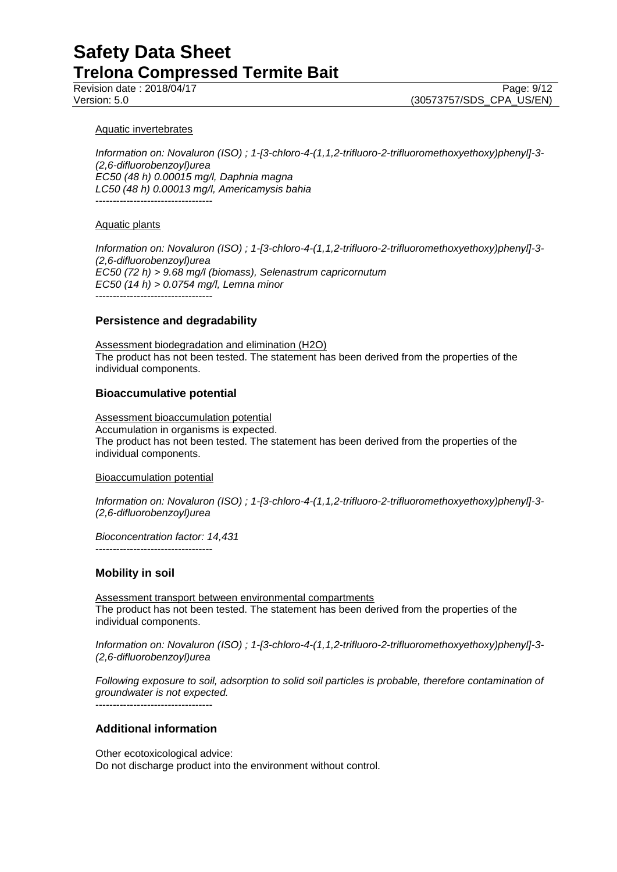### Aquatic invertebrates

*Information on: Novaluron (ISO) ; 1-[3-chloro-4-(1,1,2-trifluoro-2-trifluoromethoxyethoxy)phenyl]-3- (2,6-difluorobenzoyl)urea EC50 (48 h) 0.00015 mg/l, Daphnia magna LC50 (48 h) 0.00013 mg/l, Americamysis bahia* ----------------------------------

### Aquatic plants

*Information on: Novaluron (ISO) ; 1-[3-chloro-4-(1,1,2-trifluoro-2-trifluoromethoxyethoxy)phenyl]-3- (2,6-difluorobenzoyl)urea EC50 (72 h) > 9.68 mg/l (biomass), Selenastrum capricornutum EC50 (14 h) > 0.0754 mg/l, Lemna minor* ----------------------------------

## **Persistence and degradability**

Assessment biodegradation and elimination (H2O) The product has not been tested. The statement has been derived from the properties of the individual components.

### **Bioaccumulative potential**

Assessment bioaccumulation potential Accumulation in organisms is expected. The product has not been tested. The statement has been derived from the properties of the individual components.

#### Bioaccumulation potential

----------------------------------

*Information on: Novaluron (ISO) ; 1-[3-chloro-4-(1,1,2-trifluoro-2-trifluoromethoxyethoxy)phenyl]-3- (2,6-difluorobenzoyl)urea*

*Bioconcentration factor: 14,431*

## **Mobility in soil**

Assessment transport between environmental compartments The product has not been tested. The statement has been derived from the properties of the individual components.

*Information on: Novaluron (ISO) ; 1-[3-chloro-4-(1,1,2-trifluoro-2-trifluoromethoxyethoxy)phenyl]-3- (2,6-difluorobenzoyl)urea*

*Following exposure to soil, adsorption to solid soil particles is probable, therefore contamination of groundwater is not expected.*

----------------------------------

# **Additional information**

Other ecotoxicological advice: Do not discharge product into the environment without control.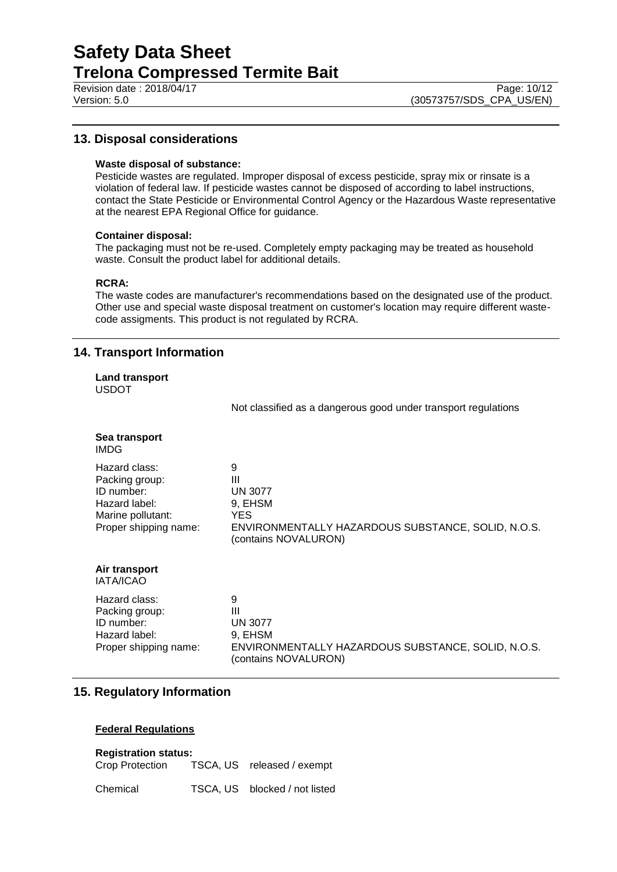# **13. Disposal considerations**

#### **Waste disposal of substance:**

Pesticide wastes are regulated. Improper disposal of excess pesticide, spray mix or rinsate is a violation of federal law. If pesticide wastes cannot be disposed of according to label instructions, contact the State Pesticide or Environmental Control Agency or the Hazardous Waste representative at the nearest EPA Regional Office for guidance.

#### **Container disposal:**

The packaging must not be re-used. Completely empty packaging may be treated as household waste. Consult the product label for additional details.

### **RCRA:**

The waste codes are manufacturer's recommendations based on the designated use of the product. Other use and special waste disposal treatment on customer's location may require different wastecode assigments. This product is not regulated by RCRA.

# **14. Transport Information**

|              | <b>Land transport</b> |
|--------------|-----------------------|
| <b>USDOT</b> |                       |

Not classified as a dangerous good under transport regulations

| Sea transport<br><b>IMDG</b>                                                                                 |                                                                                                                           |
|--------------------------------------------------------------------------------------------------------------|---------------------------------------------------------------------------------------------------------------------------|
| Hazard class:<br>Packing group:<br>ID number:<br>Hazard label:<br>Marine pollutant:<br>Proper shipping name: | 9<br>Ш<br><b>UN 3077</b><br>9, EHSM<br>YES.<br>ENVIRONMENTALLY HAZARDOUS SUBSTANCE, SOLID, N.O.S.<br>(contains NOVALURON) |
| Air transport<br><b>IATA/ICAO</b>                                                                            |                                                                                                                           |
| Hazard class:<br>Packing group:<br>ID number:<br>Hazard label:<br>Proper shipping name:                      | 9<br>Ш<br><b>UN 3077</b><br>9. EHSM<br>ENVIRONMENTALLY HAZARDOUS SUBSTANCE, SOLID, N.O.S.<br>(contains NOVALURON)         |

# **15. Regulatory Information**

## **Federal Regulations**

## **Registration status:**

| Crop Protection | TSCA, US released / exempt    |
|-----------------|-------------------------------|
| Chemical        | TSCA, US blocked / not listed |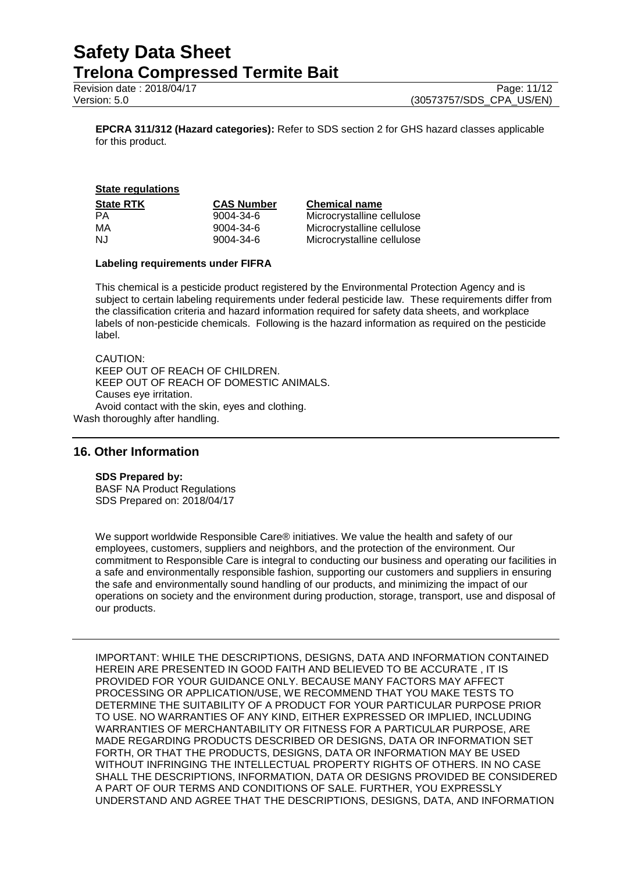Revision date : 2018/04/17 Page: 11/12

Version: 5.0 (30573757/SDS\_CPA\_US/EN)

**EPCRA 311/312 (Hazard categories):** Refer to SDS section 2 for GHS hazard classes applicable for this product.

#### **State regulations**

| State RTK | <b>CAS Num</b> |
|-----------|----------------|
| PА        | 9004-34-6      |
| МA        | 9004-34-6      |
| N.J       | 9004-34-6      |
|           |                |

#### **State Rtdate** Chemical name

Microcrystalline cellulose Microcrystalline cellulose Microcrystalline cellulose

#### **Labeling requirements under FIFRA**

This chemical is a pesticide product registered by the Environmental Protection Agency and is subject to certain labeling requirements under federal pesticide law. These requirements differ from the classification criteria and hazard information required for safety data sheets, and workplace labels of non-pesticide chemicals. Following is the hazard information as required on the pesticide label.

CAUTION: KEEP OUT OF REACH OF CHILDREN. KEEP OUT OF REACH OF DOMESTIC ANIMALS. Causes eye irritation. Avoid contact with the skin, eyes and clothing. Wash thoroughly after handling.

## **16. Other Information**

#### **SDS Prepared by:**

BASF NA Product Regulations SDS Prepared on: 2018/04/17

We support worldwide Responsible Care® initiatives. We value the health and safety of our employees, customers, suppliers and neighbors, and the protection of the environment. Our commitment to Responsible Care is integral to conducting our business and operating our facilities in a safe and environmentally responsible fashion, supporting our customers and suppliers in ensuring the safe and environmentally sound handling of our products, and minimizing the impact of our operations on society and the environment during production, storage, transport, use and disposal of our products.

IMPORTANT: WHILE THE DESCRIPTIONS, DESIGNS, DATA AND INFORMATION CONTAINED HEREIN ARE PRESENTED IN GOOD FAITH AND BELIEVED TO BE ACCURATE , IT IS PROVIDED FOR YOUR GUIDANCE ONLY. BECAUSE MANY FACTORS MAY AFFECT PROCESSING OR APPLICATION/USE, WE RECOMMEND THAT YOU MAKE TESTS TO DETERMINE THE SUITABILITY OF A PRODUCT FOR YOUR PARTICULAR PURPOSE PRIOR TO USE. NO WARRANTIES OF ANY KIND, EITHER EXPRESSED OR IMPLIED, INCLUDING WARRANTIES OF MERCHANTABILITY OR FITNESS FOR A PARTICULAR PURPOSE, ARE MADE REGARDING PRODUCTS DESCRIBED OR DESIGNS, DATA OR INFORMATION SET FORTH, OR THAT THE PRODUCTS, DESIGNS, DATA OR INFORMATION MAY BE USED WITHOUT INFRINGING THE INTELLECTUAL PROPERTY RIGHTS OF OTHERS. IN NO CASE SHALL THE DESCRIPTIONS, INFORMATION, DATA OR DESIGNS PROVIDED BE CONSIDERED A PART OF OUR TERMS AND CONDITIONS OF SALE. FURTHER, YOU EXPRESSLY UNDERSTAND AND AGREE THAT THE DESCRIPTIONS, DESIGNS, DATA, AND INFORMATION